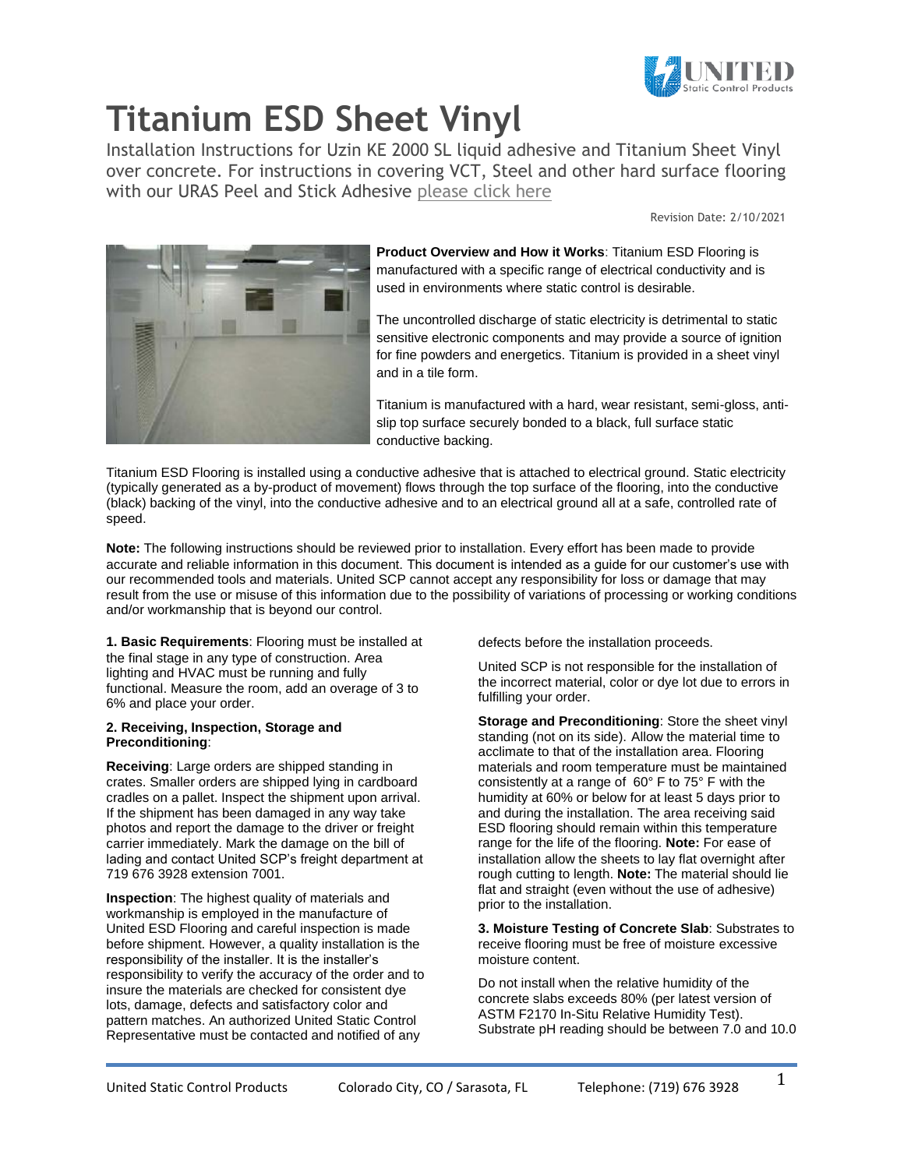

Installation Instructions for Uzin KE 2000 SL liquid adhesive and Titanium Sheet Vinyl over concrete. For instructions in covering VCT, Steel and other hard surface flooring with our URAS Peel and Stick Adhesive [please click here](https://ultrastatinc.com/industrial_floor_static_uras_installation.html)

Revision Date: 2/10/2021



**Product Overview and How it Works**: Titanium ESD Flooring is manufactured with a specific range of electrical conductivity and is used in environments where static control is desirable.

The uncontrolled discharge of static electricity is detrimental to static sensitive electronic components and may provide a source of ignition for fine powders and energetics. Titanium is provided in a sheet vinyl and in a tile form.

Titanium is manufactured with a hard, wear resistant, semi-gloss, antislip top surface securely bonded to a black, full surface static conductive backing.

Titanium ESD Flooring is installed using a conductive adhesive that is attached to electrical ground. Static electricity (typically generated as a by-product of movement) flows through the top surface of the flooring, into the conductive (black) backing of the vinyl, into the conductive adhesive and to an electrical ground all at a safe, controlled rate of speed.

**Note:** The following instructions should be reviewed prior to installation. Every effort has been made to provide accurate and reliable information in this document. This document is intended as a guide for our customer's use with our recommended tools and materials. United SCP cannot accept any responsibility for loss or damage that may result from the use or misuse of this information due to the possibility of variations of processing or working conditions and/or workmanship that is beyond our control.

**1. Basic Requirements**: Flooring must be installed at the final stage in any type of construction. Area lighting and HVAC must be running and fully functional. Measure the room, add an overage of 3 to 6% and place your order.

### **2. Receiving, Inspection, Storage and Preconditioning**:

**Receiving**: Large orders are shipped standing in crates. Smaller orders are shipped lying in cardboard cradles on a pallet. Inspect the shipment upon arrival. If the shipment has been damaged in any way take photos and report the damage to the driver or freight carrier immediately. Mark the damage on the bill of lading and contact United SCP's freight department at 719 676 3928 extension 7001.

**Inspection**: The highest quality of materials and workmanship is employed in the manufacture of United ESD Flooring and careful inspection is made before shipment. However, a quality installation is the responsibility of the installer. It is the installer's responsibility to verify the accuracy of the order and to insure the materials are checked for consistent dye lots, damage, defects and satisfactory color and pattern matches. An authorized United Static Control Representative must be contacted and notified of any

defects before the installation proceeds.

United SCP is not responsible for the installation of the incorrect material, color or dye lot due to errors in fulfilling your order.

**Storage and Preconditioning**: Store the sheet vinyl standing (not on its side). Allow the material time to acclimate to that of the installation area. Flooring materials and room temperature must be maintained consistently at a range of 60° F to 75° F with the humidity at 60% or below for at least 5 days prior to and during the installation. The area receiving said ESD flooring should remain within this temperature range for the life of the flooring. **Note:** For ease of installation allow the sheets to lay flat overnight after rough cutting to length. **Note:** The material should lie flat and straight (even without the use of adhesive) prior to the installation.

**3. Moisture Testing of Concrete Slab**: Substrates to receive flooring must be free of moisture excessive moisture content.

Do not install when the relative humidity of the concrete slabs exceeds 80% (per latest version of ASTM F2170 In-Situ Relative Humidity Test). Substrate pH reading should be between 7.0 and 10.0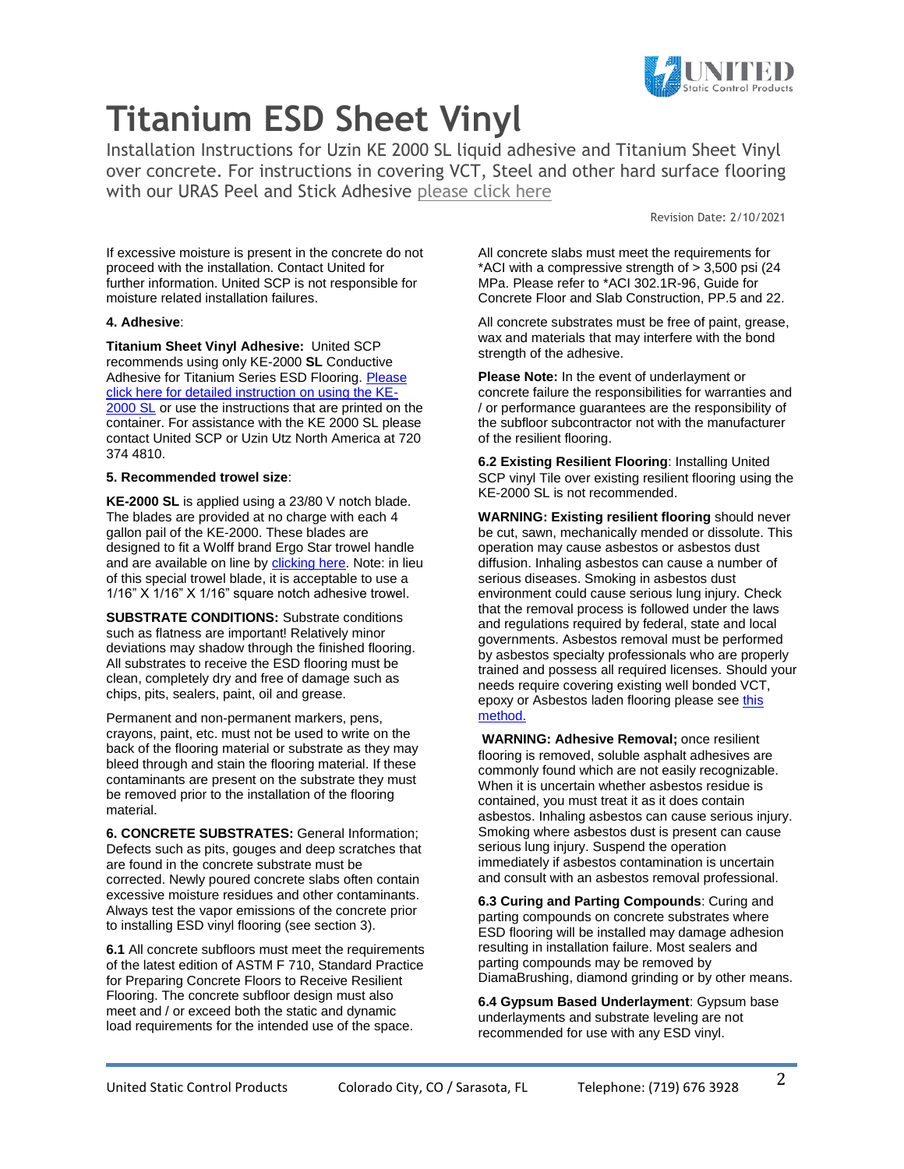

Installation Instructions for Uzin KE 2000 SL liquid adhesive and Titanium Sheet Vinyl over concrete. For instructions in covering VCT, Steel and other hard surface flooring with our URAS Peel and Stick Adhesive [please click here](https://ultrastatinc.com/industrial_floor_static_uras_installation.html)

Revision Date: 2/10/2021

If excessive moisture is present in the concrete do not proceed with the installation. Contact United for further information. United SCP is not responsible for moisture related installation failures.

### **4. Adhesive**:

**Titanium Sheet Vinyl Adhesive:** United SCP recommends using only KE-2000 **SL** Conductive Adhesive for Titanium Series ESD Flooring. [Please](https://ultrastatinc.com/UZIN_KE_2000_SL_Data_Sheet.pdf)  [click here for detailed instruction on using the KE-](https://ultrastatinc.com/UZIN_KE_2000_SL_Data_Sheet.pdf)[2000 SL](https://ultrastatinc.com/UZIN_KE_2000_SL_Data_Sheet.pdf) or use the instructions that are printed on the container. For assistance with the KE 2000 SL please contact United SCP or Uzin Utz North America at 720 374 4810.

### **5. Recommended trowel size**:

**KE-2000 SL** is applied using a 23/80 V notch blade. The blades are provided at no charge with each 4 gallon pail of the KE-2000. These blades are designed to fit a Wolff brand Ergo Star trowel handle and are available on line by **clicking here**. Note: in lieu of this special trowel blade, it is acceptable to use a 1/16" X 1/16" X 1/16" square notch adhesive trowel.

**SUBSTRATE CONDITIONS:** Substrate conditions such as flatness are important! Relatively minor deviations may shadow through the finished flooring. All substrates to receive the ESD flooring must be clean, completely dry and free of damage such as chips, pits, sealers, paint, oil and grease.

Permanent and non-permanent markers, pens, crayons, paint, etc. must not be used to write on the back of the flooring material or substrate as they may bleed through and stain the flooring material. If these contaminants are present on the substrate they must be removed prior to the installation of the flooring material.

**6. CONCRETE SUBSTRATES:** General Information; Defects such as pits, gouges and deep scratches that are found in the concrete substrate must be corrected. Newly poured concrete slabs often contain excessive moisture residues and other contaminants. Always test the vapor emissions of the concrete prior to installing ESD vinyl flooring (see section 3).

**6.1** All concrete subfloors must meet the requirements of the latest edition of ASTM F 710, Standard Practice for Preparing Concrete Floors to Receive Resilient Flooring. The concrete subfloor design must also meet and / or exceed both the static and dynamic load requirements for the intended use of the space.

All concrete slabs must meet the requirements for \*ACI with a compressive strength of > 3,500 psi (24 MPa. Please refer to \*ACI 302.1R-96, Guide for Concrete Floor and Slab Construction, PP.5 and 22.

All concrete substrates must be free of paint, grease, wax and materials that may interfere with the bond strength of the adhesive.

**Please Note:** In the event of underlayment or concrete failure the responsibilities for warranties and / or performance guarantees are the responsibility of the subfloor subcontractor not with the manufacturer of the resilient flooring.

**6.2 Existing Resilient Flooring**: Installing United SCP vinyl Tile over existing resilient flooring using the KE-2000 SL is not recommended.

**WARNING: Existing resilient flooring** should never be cut, sawn, mechanically mended or dissolute. This operation may cause asbestos or asbestos dust diffusion. Inhaling asbestos can cause a number of serious diseases. Smoking in asbestos dust environment could cause serious lung injury. Check that the removal process is followed under the laws and regulations required by federal, state and local governments. Asbestos removal must be performed by asbestos specialty professionals who are properly trained and possess all required licenses. Should your needs require covering existing well bonded VCT, epoxy or Asbestos laden flooring please see [this](industrial_floor_static_uras_installation.html)  [method.](industrial_floor_static_uras_installation.html)

**WARNING: Adhesive Removal;** once resilient flooring is removed, soluble asphalt adhesives are commonly found which are not easily recognizable. When it is uncertain whether asbestos residue is contained, you must treat it as it does contain asbestos. Inhaling asbestos can cause serious injury. Smoking where asbestos dust is present can cause serious lung injury. Suspend the operation immediately if asbestos contamination is uncertain and consult with an asbestos removal professional.

**6.3 Curing and Parting Compounds**: Curing and parting compounds on concrete substrates where ESD flooring will be installed may damage adhesion resulting in installation failure. Most sealers and parting compounds may be removed by DiamaBrushing, diamond grinding or by other means.

**6.4 Gypsum Based Underlayment**: Gypsum base underlayments and substrate leveling are not recommended for use with any ESD vinyl.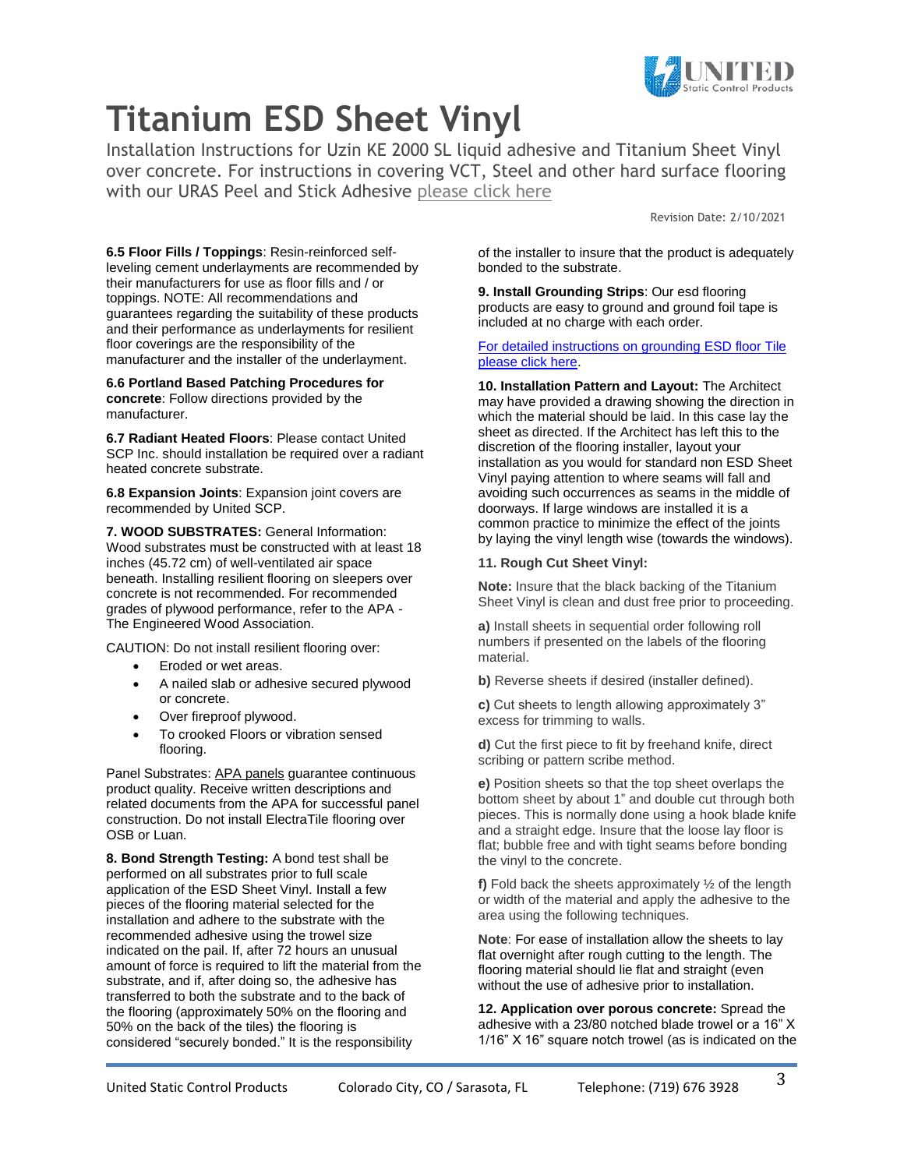

Installation Instructions for Uzin KE 2000 SL liquid adhesive and Titanium Sheet Vinyl over concrete. For instructions in covering VCT, Steel and other hard surface flooring with our URAS Peel and Stick Adhesive [please click here](https://ultrastatinc.com/industrial_floor_static_uras_installation.html)

Revision Date: 2/10/2021

**6.5 Floor Fills / Toppings**: Resin-reinforced selfleveling cement underlayments are recommended by their manufacturers for use as floor fills and / or toppings. NOTE: All recommendations and guarantees regarding the suitability of these products and their performance as underlayments for resilient floor coverings are the responsibility of the manufacturer and the installer of the underlayment.

**6.6 Portland Based Patching Procedures for concrete**: Follow directions provided by the manufacturer.

**6.7 Radiant Heated Floors**: Please contact United SCP Inc. should installation be required over a radiant heated concrete substrate.

**6.8 Expansion Joints**: Expansion joint covers are recommended by United SCP.

**7. WOOD SUBSTRATES:** General Information: Wood substrates must be constructed with at least 18 inches (45.72 cm) of well-ventilated air space beneath. Installing resilient flooring on sleepers over concrete is not recommended. For recommended grades of plywood performance, refer to the APA - The Engineered Wood Association.

CAUTION: Do not install resilient flooring over:

- Eroded or wet areas.
- A nailed slab or adhesive secured plywood or concrete.
- Over fireproof plywood.
- To crooked Floors or vibration sensed flooring.

Panel Substrates: APA panels guarantee continuous product quality. Receive written descriptions and related documents from the APA for successful panel construction. Do not install ElectraTile flooring over OSB or Luan.

**8. Bond Strength Testing:** A bond test shall be performed on all substrates prior to full scale application of the ESD Sheet Vinyl. Install a few pieces of the flooring material selected for the installation and adhere to the substrate with the recommended adhesive using the trowel size indicated on the pail. If, after 72 hours an unusual amount of force is required to lift the material from the substrate, and if, after doing so, the adhesive has transferred to both the substrate and to the back of the flooring (approximately 50% on the flooring and 50% on the back of the tiles) the flooring is considered "securely bonded." It is the responsibility

of the installer to insure that the product is adequately bonded to the substrate.

**9. Install Grounding Strips**: Our esd flooring products are easy to ground and ground foil tape is included at no charge with each order.

[For detailed instructions on grounding ESD floor Tile](https://ultrastatinc.com/electraguard_grounding.html)  [please click here.](https://ultrastatinc.com/electraguard_grounding.html)

**10. Installation Pattern and Layout:** The Architect may have provided a drawing showing the direction in which the material should be laid. In this case lay the sheet as directed. If the Architect has left this to the discretion of the flooring installer, layout your installation as you would for standard non ESD Sheet Vinyl paying attention to where seams will fall and avoiding such occurrences as seams in the middle of doorways. If large windows are installed it is a common practice to minimize the effect of the joints by laying the vinyl length wise (towards the windows).

### **11. Rough Cut Sheet Vinyl:**

**Note:** Insure that the black backing of the Titanium Sheet Vinyl is clean and dust free prior to proceeding.

**a)** Install sheets in sequential order following roll numbers if presented on the labels of the flooring material.

**b)** Reverse sheets if desired (installer defined).

**c)** Cut sheets to length allowing approximately 3" excess for trimming to walls.

**d)** Cut the first piece to fit by freehand knife, direct scribing or pattern scribe method.

**e)** Position sheets so that the top sheet overlaps the bottom sheet by about 1" and double cut through both pieces. This is normally done using a hook blade knife and a straight edge. Insure that the loose lay floor is flat; bubble free and with tight seams before bonding the vinyl to the concrete.

**f)** Fold back the sheets approximately ½ of the length or width of the material and apply the adhesive to the area using the following techniques.

**Note**: For ease of installation allow the sheets to lay flat overnight after rough cutting to the length. The flooring material should lie flat and straight (even without the use of adhesive prior to installation.

**12. Application over porous concrete:** Spread the adhesive with a 23/80 notched blade trowel or a 16" X 1/16" X 16" square notch trowel (as is indicated on the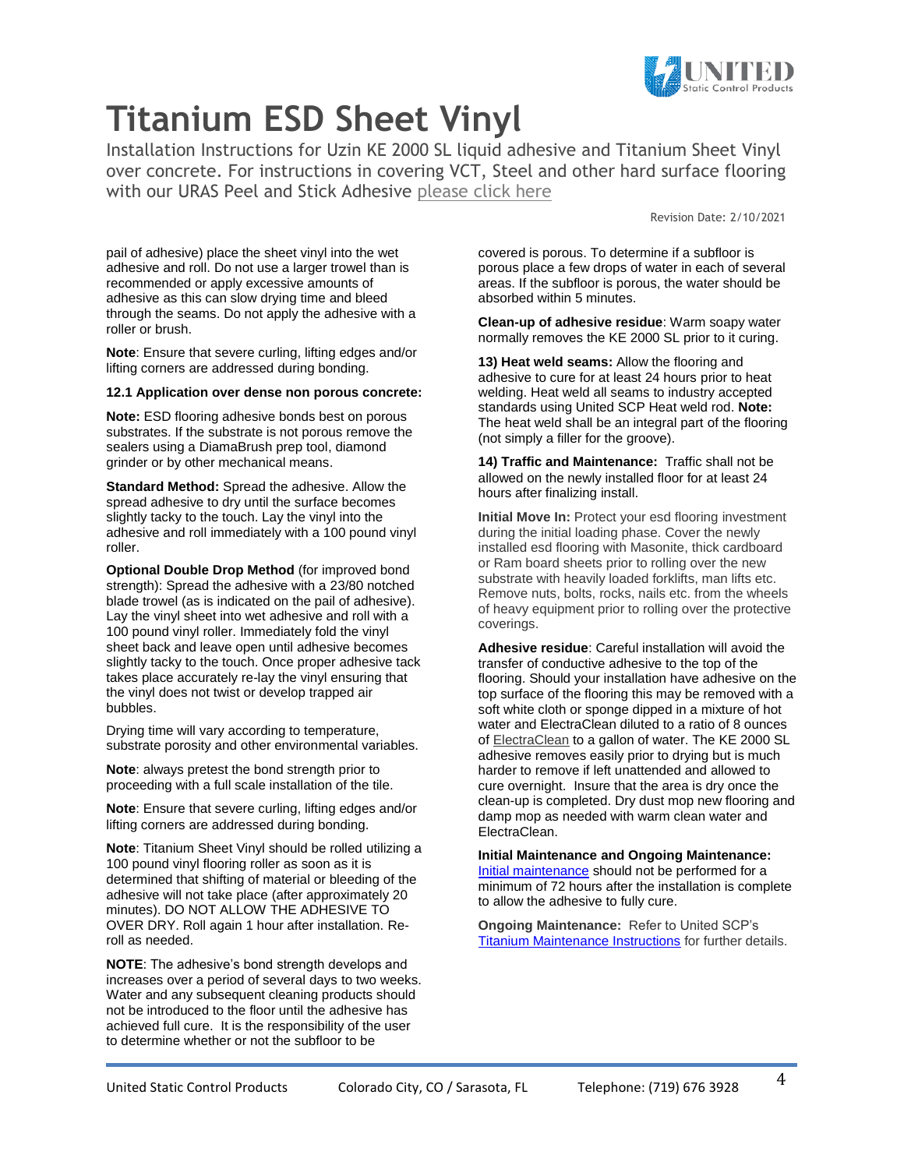

Installation Instructions for Uzin KE 2000 SL liquid adhesive and Titanium Sheet Vinyl over concrete. For instructions in covering VCT, Steel and other hard surface flooring with our URAS Peel and Stick Adhesive [please click here](https://ultrastatinc.com/industrial_floor_static_uras_installation.html)

Revision Date: 2/10/2021

pail of adhesive) place the sheet vinyl into the wet adhesive and roll. Do not use a larger trowel than is recommended or apply excessive amounts of adhesive as this can slow drying time and bleed through the seams. Do not apply the adhesive with a roller or brush.

**Note**: Ensure that severe curling, lifting edges and/or lifting corners are addressed during bonding.

#### **12.1 Application over dense non porous concrete:**

**Note:** ESD flooring adhesive bonds best on porous substrates. If the substrate is not porous remove the sealers using a DiamaBrush prep tool, diamond grinder or by other mechanical means.

**Standard Method:** Spread the adhesive. Allow the spread adhesive to dry until the surface becomes slightly tacky to the touch. Lay the vinyl into the adhesive and roll immediately with a 100 pound vinyl roller.

**Optional Double Drop Method** (for improved bond strength): Spread the adhesive with a 23/80 notched blade trowel (as is indicated on the pail of adhesive). Lay the vinyl sheet into wet adhesive and roll with a 100 pound vinyl roller. Immediately fold the vinyl sheet back and leave open until adhesive becomes slightly tacky to the touch. Once proper adhesive tack takes place accurately re-lay the vinyl ensuring that the vinyl does not twist or develop trapped air bubbles.

Drying time will vary according to temperature, substrate porosity and other environmental variables.

**Note**: always pretest the bond strength prior to proceeding with a full scale installation of the tile.

**Note**: Ensure that severe curling, lifting edges and/or lifting corners are addressed during bonding.

**Note**: Titanium Sheet Vinyl should be rolled utilizing a 100 pound vinyl flooring roller as soon as it is determined that shifting of material or bleeding of the adhesive will not take place (after approximately 20 minutes). DO NOT ALLOW THE ADHESIVE TO OVER DRY. Roll again 1 hour after installation. Reroll as needed.

**NOTE**: The adhesive's bond strength develops and increases over a period of several days to two weeks. Water and any subsequent cleaning products should not be introduced to the floor until the adhesive has achieved full cure. It is the responsibility of the user to determine whether or not the subfloor to be

covered is porous. To determine if a subfloor is porous place a few drops of water in each of several areas. If the subfloor is porous, the water should be absorbed within 5 minutes.

**Clean-up of adhesive residue**: Warm soapy water normally removes the KE 2000 SL prior to it curing.

**13) Heat weld seams:** Allow the flooring and adhesive to cure for at least 24 hours prior to heat welding. Heat weld all seams to industry accepted standards using United SCP Heat weld rod. **Note:** The heat weld shall be an integral part of the flooring (not simply a filler for the groove).

**14) Traffic and Maintenance:** Traffic shall not be allowed on the newly installed floor for at least 24 hours after finalizing install.

**Initial Move In: Protect your esd flooring investment** during the initial loading phase. Cover the newly installed esd flooring with Masonite, thick cardboard or Ram board sheets prior to rolling over the new substrate with heavily loaded forklifts, man lifts etc. Remove nuts, bolts, rocks, nails etc. from the wheels of heavy equipment prior to rolling over the protective coverings.

**Adhesive residue**: Careful installation will avoid the transfer of conductive adhesive to the top of the flooring. Should your installation have adhesive on the top surface of the flooring this may be removed with a soft white cloth or sponge dipped in a mixture of hot water and ElectraClean diluted to a ratio of 8 ounces of [ElectraClean](http://ultrastatinc.com/esd_flooring_cleaner.html) to a gallon of water. The KE 2000 SL adhesive removes easily prior to drying but is much harder to remove if left unattended and allowed to cure overnight. Insure that the area is dry once the clean-up is completed. Dry dust mop new flooring and damp mop as needed with warm clean water and ElectraClean.

#### **Initial Maintenance and Ongoing Maintenance:** [Initial maintenance](https://ultrastatinc.com/Titanium_ESD_Tile_and_Sheet_Vinyl_Maintenance.html) should not be performed for a minimum of 72 hours after the installation is complete to allow the adhesive to fully cure.

**Ongoing Maintenance:** Refer to United SCP's [Titanium Maintenance Instructions](https://ultrastatinc.com/Titanium_ESD_Tile_and_Sheet_Vinyl_Maintenance.pdf) for further details.